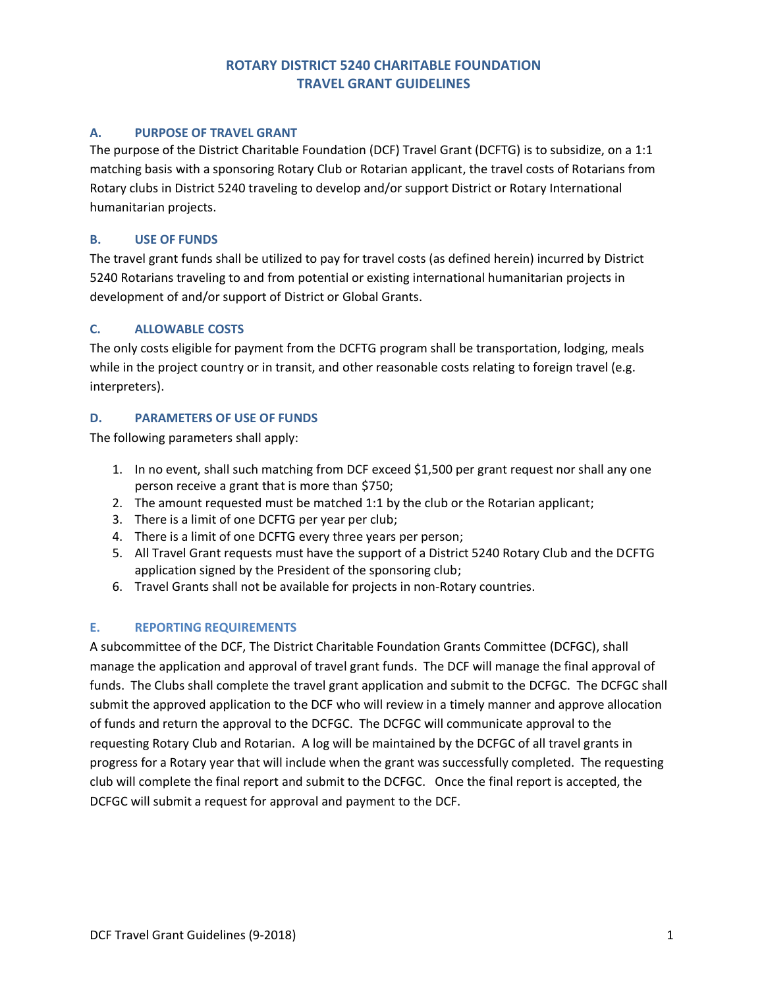# **ROTARY DISTRICT 5240 CHARITABLE FOUNDATION TRAVEL GRANT GUIDELINES**

### **A. PURPOSE OF TRAVEL GRANT**

The purpose of the District Charitable Foundation (DCF) Travel Grant (DCFTG) is to subsidize, on a 1:1 matching basis with a sponsoring Rotary Club or Rotarian applicant, the travel costs of Rotarians from Rotary clubs in District 5240 traveling to develop and/or support District or Rotary International humanitarian projects.

### **B. USE OF FUNDS**

The travel grant funds shall be utilized to pay for travel costs (as defined herein) incurred by District 5240 Rotarians traveling to and from potential or existing international humanitarian projects in development of and/or support of District or Global Grants.

### **C. ALLOWABLE COSTS**

The only costs eligible for payment from the DCFTG program shall be transportation, lodging, meals while in the project country or in transit, and other reasonable costs relating to foreign travel (e.g. interpreters).

### **D. PARAMETERS OF USE OF FUNDS**

The following parameters shall apply:

- 1. In no event, shall such matching from DCF exceed \$1,500 per grant request nor shall any one person receive a grant that is more than \$750;
- 2. The amount requested must be matched 1:1 by the club or the Rotarian applicant;
- 3. There is a limit of one DCFTG per year per club;
- 4. There is a limit of one DCFTG every three years per person;
- 5. All Travel Grant requests must have the support of a District 5240 Rotary Club and the DCFTG application signed by the President of the sponsoring club;
- 6. Travel Grants shall not be available for projects in non-Rotary countries.

## **E. REPORTING REQUIREMENTS**

A subcommittee of the DCF, The District Charitable Foundation Grants Committee (DCFGC), shall manage the application and approval of travel grant funds. The DCF will manage the final approval of funds. The Clubs shall complete the travel grant application and submit to the DCFGC. The DCFGC shall submit the approved application to the DCF who will review in a timely manner and approve allocation of funds and return the approval to the DCFGC. The DCFGC will communicate approval to the requesting Rotary Club and Rotarian. A log will be maintained by the DCFGC of all travel grants in progress for a Rotary year that will include when the grant was successfully completed. The requesting club will complete the final report and submit to the DCFGC. Once the final report is accepted, the DCFGC will submit a request for approval and payment to the DCF.